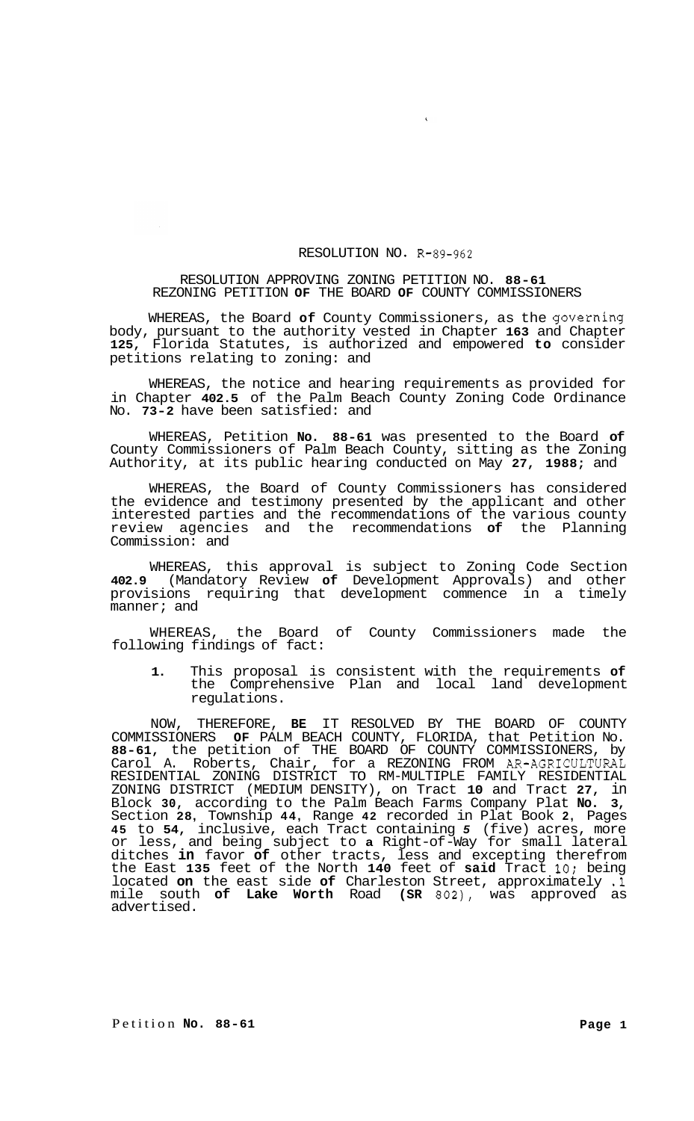## RESOLUTION NO. R-89-962

## RESOLUTION APPROVING ZONING PETITION NO. **88-61**  REZONING PETITION **OF** THE BOARD **OF** COUNTY COMMISSIONERS

WHEREAS, the Board **of** County Commissioners, as the governing body, pursuant to the authority vested in Chapter **163** and Chapter **125,** Florida Statutes, is authorized and empowered **to** consider petitions relating to zoning: and

WHEREAS, the notice and hearing requirements as provided for in Chapter **402.5** of the Palm Beach County Zoning Code Ordinance No. **73-2** have been satisfied: and

WHEREAS, Petition **No. 88-61** was presented to the Board **of**  County Commissioners of Palm Beach County, sitting as the Zoning Authority, at its public hearing conducted on May **27, 1988;** and

WHEREAS, the Board of County Commissioners has considered the evidence and testimony presented by the applicant and other interested parties and the recommendations of the various county review agencies and the recommendations **of** the Planning Commission: and

WHEREAS, this approval is subject to Zoning Code Section **402.9** (Mandatory Review **of** Development Approvals) and other provisions requiring that development commence in a timely manner; and

WHEREAS, the Board of County Commissioners made the following findings of fact:

**1.** This proposal is consistent with the requirements **of**  the Comprehensive Plan and local land development regulations.

NOW, THEREFORE, **BE** IT RESOLVED BY THE BOARD OF COUNTY COMMISSIONERS **OF** PALM BEACH COUNTY, FLORIDA, that Petition No. **88-61,** the petition of THE BOARD OF COUNTY COMMISSIONERS, by Carol A. Roberts, Chair, for a REZONING FROM AR-AGRICULTURAL ZONING DISTRICT (MEDIUM DENSITY), on Tract **10** and Tract **27,** in Block **30,** according to the Palm Beach Farms Company Plat **No. 3,**  Section **28,** Township **44,** Range **42** recorded in Plat Book **2,** Pages **45** to **54,** inclusive, each Tract containing *5* (five) acres, more or less, and being subject to **a** Right-of -Way for small lateral ditches **in** favor **of** other tracts, less and excepting therefrom the East **135** feet of the North **140** feet of **said** Tract **10;** being located **on** the east side **of** Charleston Street, approximately **.l**  mile south **of Lake Worth** Road **(SR 802),** was approved as advertised. RESIDENTIAL ZONING DISTRICT TO RM-MULTIPLE FAMILY RESIDENTIAL